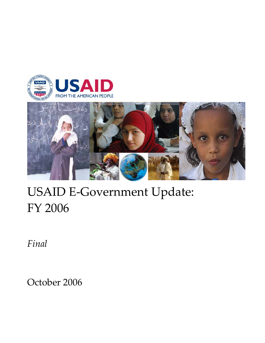



# USAID E‐Government Update: FY 2006

*Final*

October 2006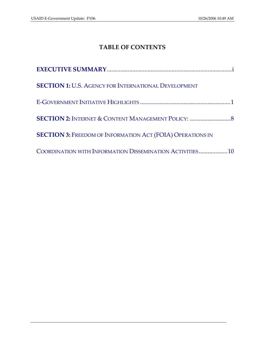# **TABLE OF CONTENTS**

| <b>SECTION 1: U.S. AGENCY FOR INTERNATIONAL DEVELOPMENT</b>       |
|-------------------------------------------------------------------|
|                                                                   |
| <b>SECTION 2: INTERNET &amp; CONTENT MANAGEMENT POLICY: </b> 8    |
| <b>SECTION 3: FREEDOM OF INFORMATION ACT (FOIA) OPERATIONS IN</b> |
| COORDINATION WITH INFORMATION DISSEMINATION ACTIVITIES10          |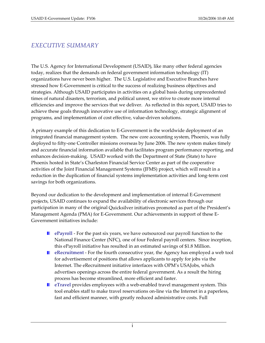# *EXECUTIVE SUMMARY*

The U.S. Agency for International Development (USAID), like many other federal agencies today, realizes that the demands on federal government information technology (IT) organizations have never been higher. The U.S. Legislative and Executive Branches have stressed how E‐Government is critical to the success of realizing business objectives and strategies. Although USAID participates in activities on a global basis during unprecedented times of natural disasters, terrorism, and political unrest, we strive to create more internal efficiencies and improve the services that we deliver. As reflected in this report, USAID tries to achieve these goals through innovative use of information technology, strategic alignment of programs, and implementation of cost effective, value‐driven solutions.

A primary example of this dedication to E‐Government is the worldwide deployment of an integrated financial management system. The new core accounting system, Phoenix, was fully deployed to fifty-one Controller missions overseas by June 2006. The new system makes timely and accurate financial information available that facilitates program performance reporting, and enhances decision‐making. USAID worked with the Department of State (State) to have Phoenix hosted in State's Charleston Financial Service Center as part of the cooperative activities of the Joint Financial Management Systems (JFMS) project, which will result in a reduction in the duplication of financial systems implementation activities and long-term cost savings for both organizations.

Beyond our dedication to the development and implementation of internal E‐Government projects, USAID continues to expand the availability of electronic services through our participation in many of the original Quicksilver initiatives promoted as part of the President's Management Agenda (PMA) for E‐Government. Our achievements in support of these E‐ Government initiatives include:

- **E** ePayroll For the past six years, we have outsourced our payroll function to the National Finance Center (NFC), one of four Federal payroll centers. Since inception, this ePayroll initiative has resulted in an estimated savings of \$1.8 Million.
- **E** eRecruitment For the fourth consecutive year, the Agency has employed a web tool for advertisement of positions that allows applicants to apply for jobs via the Internet. The eRecruitment initiative interfaces with OPM's USAJobs, which advertises openings across the entire federal government. As a result the hiring process has become streamlined, more efficient and faster.
- **eTravel** provides employees with a web-enabled travel management system. This tool enables staff to make travel reservations on‐line via the Internet in a paperless, fast and efficient manner, with greatly reduced administrative costs. Full

i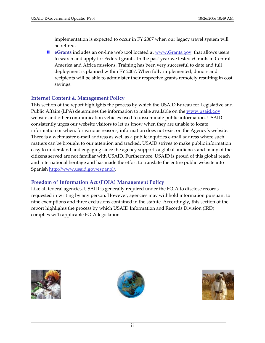implementation is expected to occur in FY 2007 when our legacy travel system will be retired.

■ eGrants includes an on-line web tool located at www.Grants.gov that allows users to search and apply for Federal grants. In the past year we tested eGrants in Central America and Africa missions. Training has been very successful to date and full deployment is planned within FY 2007. When fully implemented, donors and recipients will be able to administer their respective grants remotely resulting in cost savings.

## **Internet Content & Management Policy**

This section of the report highlights the process by which the USAID Bureau for Legislative and Public Affairs (LPA) determines the information to make available on the www.usaid.gov website and other communication vehicles used to disseminate public information. USAID consistently urges our website visitors to let us know when they are unable to locate information or when, for various reasons, information does not exist on the Agency's website. There is a webmaster e-mail address as well as a public inquiries e-mail address where such matters can be brought to our attention and tracked. USAID strives to make public information easy to understand and engaging since the agency supports a global audience, and many of the citizens served are not familiar with USAID. Furthermore, USAID is proud of this global reach and international heritage and has made the effort to translate the entire public website into Spanish http://www.usaid.gov/espanol/.

## **Freedom of Information Act (FOIA) Management Policy**

Like all federal agencies, USAID is generally required under the FOIA to disclose records requested in writing by any person. However, agencies may withhold information pursuant to nine exemptions and three exclusions contained in the statute. Accordingly, this section of the report highlights the process by which USAID Information and Records Division (IRD) complies with applicable FOIA legislation.





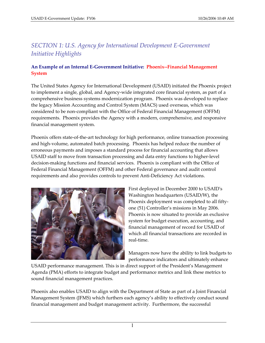# *SECTION 1: U.S. Agency for International Development E‐Government Initiative Highlights*

## **An Example of an Internal E‐Government Initiative: Phoenix‐‐Financial Management System**

The United States Agency for International Development (USAID) initiated the Phoenix project to implement a single, global, and Agency‐wide integrated core financial system, as part of a comprehensive business systems modernization program. Phoenix was developed to replace the legacy Mission Accounting and Control System (MACS) used overseas, which was considered to be non‐compliant with the Office of Federal Financial Management (OFFM) requirements. Phoenix provides the Agency with a modern, comprehensive, and responsive financial management system.

Phoenix offers state-of-the-art technology for high performance, online transaction processing and high‐volume, automated batch processing. Phoenix has helped reduce the number of erroneous payments and imposes a standard process for financial accounting that allows USAID staff to move from transaction processing and data entry functions to higher‐level decision‐making functions and financial services. Phoenix is compliant with the Office of Federal Financial Management (OFFM) and other Federal governance and audit control requirements and also provides controls to prevent Anti‐Deficiency Act violations.



First deployed in December 2000 to USAIDʹs Washington headquarters (USAID/W), the Phoenix deployment was completed to all fifty‐ one (51) Controller's missions in May 2006. Phoenix is now situated to provide an exclusive system for budget execution, accounting, and financial management of record for USAID of which all financial transactions are recorded in real‐time.

Managers now have the ability to link budgets to performance indicators and ultimately enhance

USAID performance management. This is in direct support of the President's Management Agenda (PMA) efforts to integrate budget and performance metrics and link these metrics to sound financial management practices.

Phoenix also enables USAID to align with the Department of State as part of a Joint Financial Management System (JFMS) which furthers each agency's ability to effectively conduct sound financial management and budget management activity. Furthermore, the successful

1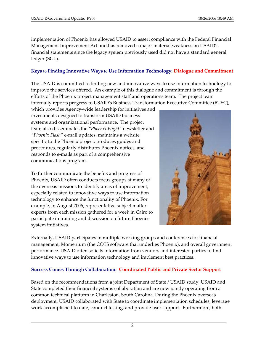implementation of Phoenix has allowed USAID to assert compliance with the Federal Financial Management Improvement Act and has removed a major material weakness on USAID's financial statements since the legacy system previously used did not have a standard general ledger (SGL).

### **Keys to Finding Innovative Ways to Use Information Technology: Dialogue and Commitment**

The USAID is committed to finding new and innovative ways to use information technology to improve the services offered. An example of this dialogue and commitment is through the efforts of the Phoenix project management staff and operations team. The project team internally reports progress to USAIDʹs Business Transformation Executive Committee (BTEC),

which provides Agency‐wide leadership for initiatives and investments designed to transform USAID business systems and organizational performance. The project team also disseminates the *"Phoenix Flight"* newsletter and *"Phoenix Flash"* e‐mail updates, maintains a website specific to the Phoenix project, produces guides and procedures, regularly distributes Phoenix notices, and responds to e‐mails as part of a comprehensive communications program.

To further communicate the benefits and progress of Phoenix, USAID often conducts focus groups at many of the overseas missions to identify areas of improvement, especially related to innovative ways to use information technology to enhance the functionality of Phoenix. For example, in August 2006, representative subject matter experts from each mission gathered for a week in Cairo to participate in training and discussion on future Phoenix system initiatives.



Externally, USAID participates in multiple working groups and conferences for financial management, Momentum (the COTS software that underlies Phoenix), and overall government performance. USAID often solicits information from vendors and interested parties to find innovative ways to use information technology and implement best practices.

#### **Success Comes Through Collaboration: Coordinated Public and Private Sector Support**

Based on the recommendations from a joint Department of State / USAID study, USAID and State completed their financial systems collaboration and are now jointly operating from a common technical platform in Charleston, South Carolina. During the Phoenix overseas deployment, USAID collaborated with State to coordinate implementation schedules, leverage work accomplished to date, conduct testing, and provide user support. Furthermore, both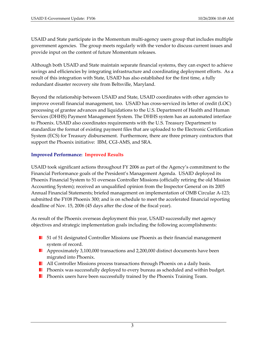USAID and State participate in the Momentum multi‐agency users group that includes multiple government agencies. The group meets regularly with the vendor to discuss current issues and provide input on the content of future Momentum releases.

Although both USAID and State maintain separate financial systems, they can expect to achieve savings and efficiencies by integrating infrastructure and coordinating deployment efforts. As a result of this integration with State, USAID has also established for the first time, a fully redundant disaster recovery site from Beltsville, Maryland.

Beyond the relationship between USAID and State, USAID coordinates with other agencies to improve overall financial management, too. USAID has cross-serviced its letter of credit (LOC) processing of grantee advances and liquidations to the U.S. Department of Health and Human Services (DHHS) Payment Management System. The DHHS system has an automated interface to Phoenix. USAID also coordinates requirements with the U.S. Treasury Department to standardize the format of existing payment files that are uploaded to the Electronic Certification System (ECS) for Treasury disbursement. Furthermore, there are three primary contractors that support the Phoenix initiative: IBM, CGI-AMS, and SRA.

## **Improved Performance: Improved Results**

USAID took significant actions throughout FY 2006 as part of the Agency's commitment to the Financial Performance goals of the President's Management Agenda. USAID deployed its Phoenix Financial System to 51 overseas Controller Missions (officially retiring the old Mission Accounting System); received an unqualified opinion from the Inspector General on its 2005 Annual Financial Statements; briefed management on implementation of OMB Circular A‐123; submitted the FY08 Phoenix 300; and is on schedule to meet the accelerated financial reporting deadline of Nov. 15, 2006 (45 days after the close of the fiscal year).

As result of the Phoenix overseas deployment this year, USAID successfully met agency objectives and strategic implementation goals including the following accomplishments:

- **51 of 51 designated Controller Missions use Phoenix as their financial management** system of record.
- **Approximately 3,100,000 transactions and 2,200,000 distinct documents have been** migrated into Phoenix.
- **All Controller Missions process transactions through Phoenix on a daily basis.**
- **Phoenix was successfully deployed to every bureau as scheduled and within budget.**
- **Phoenix users have been successfully trained by the Phoenix Training Team.**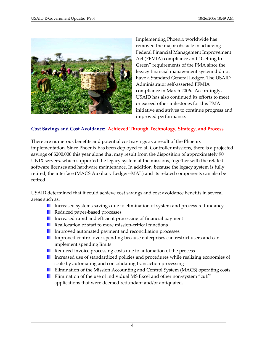

Implementing Phoenix worldwide has removed the major obstacle in achieving Federal Financial Management Improvement Act (FFMIA) compliance and "Getting to Green" requirements of the PMA since the legacy financial management system did not have a Standard General Ledger. The USAID Administrator self‐asserted FFMIA compliance in March 2006. Accordingly, USAID has also continued its efforts to meet or exceed other milestones for this PMA initiative and strives to continue progress and improved performance.

#### **Cost Savings and Cost Avoidance: Achieved Through Technology, Strategy, and Process**

There are numerous benefits and potential cost savings as a result of the Phoenix implementation. Since Phoenix has been deployed to all Controller missions, there is a projected savings of \$200,000 this year alone that may result from the disposition of approximately 90 UNIX servers, which supported the legacy system at the missions, together with the related software licenses and hardware maintenance. In addition, because the legacy system is fully retired, the interface (MACS Auxiliary Ledger‐‐MAL) and its related components can also be retired.

USAID determined that it could achieve cost savings and cost avoidance benefits in several areas such as:

- Increased systems savings due to elimination of system and process redundancy
- Reduced paper-based processes
- **Increased rapid and efficient processing of financial payment**
- Reallocation of staff to more mission-critical functions
- **Improved automated payment and reconciliation processes**
- **Improved control over spending because enterprises can restrict users and can** implement spending limits
- Reduced invoice processing costs due to automation of the process
- Increased use of standardized policies and procedures while realizing economies of scale by automating and consolidating transaction processing
- **E** Elimination of the Mission Accounting and Control System (MACS) operating costs
- Elimination of the use of individual MS Excel and other non-system "cuff" applications that were deemed redundant and/or antiquated.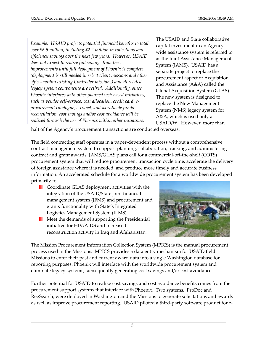*Example: USAID projects potential financial benefits to total over \$6.5 million, including \$2.2 million in collections and efficiency savings over the next few years. However, USAID does not expect to realize full savings from these improvements until full deployment of Phoenix is complete (deployment is still needed in select client missions and other offices within existing Controller missions) and all related legacy system components are retired. Additionally, since Phoenix interfaces with other planned web‐based initiatives, such as vendor self‐service, cost allocation, credit card, e‐ procurement catalogue, e‐travel, and worldwide funds reconciliation, cost savings and/or cost avoidance will be realized through the use of Phoenix within other initiatives.*

The USAID and State collaborative capital investment in an Agency‐ wide assistance system is referred to as the Joint Assistance Management System (JAMS). USAID has a separate project to replace the procurement aspect of Acquisition and Assistance (A&A) called the Global Acquisition System (GLAS). The new system is designed to replace the New Management System (NMS) legacy system for A&A, which is used only at USAID/W. However, more than

half of the Agency's procurement transactions are conducted overseas.

The field contracting staff operates in a paper‐dependent process without a comprehensive contract management system to support planning, collaboration, tracking, and administering contract and grant awards. JAMS/GLAS plans call for a commercial‐off‐the‐shelf (COTS) procurement system that will reduce procurement transaction cycle time, accelerate the delivery of foreign assistance where it is needed, and produce more timely and accurate business information. An accelerated schedule for a worldwide procurement system has been developed primarily to:

- **Coordinate GLAS deployment activities with the** integration of the USAID/State joint financial management system (JFMS) and procurement and grants functionality with State's Integrated Logistics Management System (ILMS)
- **Meet the demands of supporting the Presidential** initiative for HIV/AIDS and increased reconstruction activity in Iraq and Afghanistan.



The Mission Procurement Information Collection System (MPICS) is the manual procurement process used in the Missions. MPICS provides a data entry mechanism for USAID field Missions to enter their past and current award data into a single Washington database for reporting purposes. Phoenix will interface with the worldwide procurement system and eliminate legacy systems, subsequently generating cost savings and/or cost avoidance.

Further potential for USAID to realize cost savings and cost avoidance benefits comes from the procurement support systems that interface with Phoenix. Two systems, ProDoc and RegSearch, were deployed in Washington and the Missions to generate solicitations and awards as well as improve procurement reporting. USAID piloted a third-party software product for e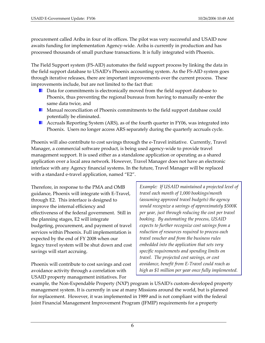procurement called Ariba in four of its offices. The pilot was very successful and USAID now awaits funding for implementation Agency‐wide. Ariba is currently in production and has processed thousands of small purchase transactions. It is fully integrated with Phoenix.

The Field Support system (FS‐AID) automates the field support process by linking the data in the field support database to USAID's Phoenix accounting system. As the FS‐AID system goes through iterative releases, there are important improvements over the current process. These improvements include, but are not limited to the fact that:

- **D** Data for commitments is electronically moved from the field support database to Phoenix, thus preventing the regional bureaus from having to manually re‐enter the same data twice, and
- **Manual reconciliation of Phoenix commitments to the field support database could** potentially be eliminated.
- **Accruals Reporting System (ARS), as of the fourth quarter in FY06, was integrated into** Phoenix. Users no longer access ARS separately during the quarterly accruals cycle.

Phoenix will also contribute to cost savings through the e-Travel initiative. Currently, Travel Manager, a commercial software product, is being used agency-wide to provide travel management support. It is used either as a standalone application or operating as a shared application over a local area network. However, Travel Manager does not have an electronic interface with any Agency financial systems. In the future, Travel Manager will be replaced with a standard e-travel application, named "E2".

Therefore, in response to the PMA and OMB guidance, Phoenix will integrate with E‐Travel, through E2. This interface is designed to improve the internal efficiency and effectiveness of the federal government. Still in the planning stages, E2 will integrate budgeting, procurement, and payment of travel services within Phoenix. Full implementation is expected by the end of FY 2008 when our legacy travel system will be shut down and cost savings will start accruing.

Phoenix will contribute to cost savings and cost avoidance activity through a correlation with USAID property management initiatives. For

*Example: If USAID maintained a projected level of travel each month of 1,000 bookings/month (assuming approved travel budgets) the agency would recognize a savings of approximately \$500K per year, just through reducing the cost per travel booking. By automating the process, USAID expects to further recognize cost savings from a reduction of resources required to process each travel voucher and from the business rules embedded into the application that sets very specific requirements and spending limits on travel. The projected cost savings, or cost avoidance, benefit from E‐Travel could reach as high as \$1 million per year once fully implemented.* 

example, the Non-Expendable Property (NXP) program is USAID's custom-developed property management system. It is currently in use at many Missions around the world, but is planned for replacement. However, it was implemented in 1989 and is not compliant with the federal Joint Financial Management Improvement Program (JFMIP) requirements for a property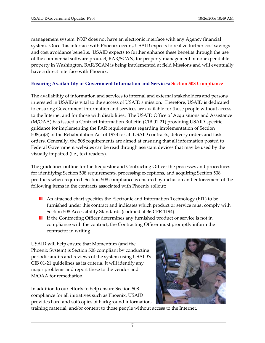management system. NXP does not have an electronic interface with any Agency financial system. Once this interface with Phoenix occurs, USAID expects to realize further cost savings and cost avoidance benefits. USAID expects to further enhance these benefits through the use of the commercial software product, BAR/SCAN, for property management of nonexpendable property in Washington. BAR/SCAN is being implemented at field Missions and will eventually have a direct interface with Phoenix.

#### **Ensuring Availability of Government Information and Services: Section 508 Compliance**

The availability of information and services to internal and external stakeholders and persons interested in USAID is vital to the success of USAIDʹs mission. Therefore, USAID is dedicated to ensuring Government information and services are available for those people without access to the Internet and for those with disabilities. The USAID Office of Acquisitions and Assistance (M/OAA) has issued a Contract Information Bulletin (CIB 01‐21) providing USAID‐specific guidance for implementing the FAR requirements regarding implementation of Section 508(a)(3) of the Rehabilitation Act of 1973 for all USAID contracts, delivery orders and task orders. Generally, the 508 requirements are aimed at ensuring that all information posted to Federal Government websites can be read through assistant devices that may be used by the visually impaired (i.e., text readers).

The guidelines outline for the Requestor and Contracting Officer the processes and procedures for identifying Section 508 requirements, processing exceptions, and acquiring Section 508 products when required. Section 508 compliance is ensured by inclusion and enforcement of the following items in the contracts associated with Phoenix rollout:

- **An attached chart specifies the Electronic and Information Technology (EIT) to be** furnished under this contract and indicates which product or service must comply with Section 508 Accessibility Standards (codified at 36 CFR 1194).
- **If the Contracting Officer determines any furnished product or service is not in** compliance with the contract, the Contracting Officer must promptly inform the contractor in writing.

USAID will help ensure that Momentum (and the Phoenix System) is Section 508 compliant by conducting periodic audits and reviews of the system using USAIDʹs CIB 01‐21 guidelines as its criteria. It will identify any major problems and report these to the vendor and M/OAA for remediation.

In addition to our efforts to help ensure Section 508 compliance for all initiatives such as Phoenix, USAID provides hard and softcopies of background information,



training material, and/or content to those people without access to the Internet.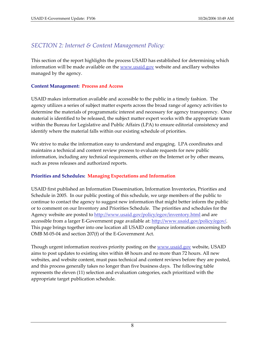# *SECTION 2: Internet & Content Management Policy:*

This section of the report highlights the process USAID has established for determining which information will be made available on the www.usaid.gov website and ancillary websites managed by the agency.

#### **Content Management: Process and Access**

USAID makes information available and accessible to the public in a timely fashion. The agency utilizes a series of subject matter experts across the broad range of agency activities to determine the materials of programmatic interest and necessary for agency transparency. Once material is identified to be released, the subject matter expert works with the appropriate team within the Bureau for Legislative and Public Affairs (LPA) to ensure editorial consistency and identify where the material falls within our existing schedule of priorities.

We strive to make the information easy to understand and engaging. LPA coordinates and maintains a technical and content review process to evaluate requests for new public information, including any technical requirements, either on the Internet or by other means, such as press releases and authorized reports.

#### **Priorities and Schedules: Managing Expectations and Information**

USAID first published an Information Dissemination, Information Inventories, Priorities and Schedule in 2005. In our public posting of this schedule, we urge members of the public to continue to contact the agency to suggest new information that might better inform the public or to comment on our Inventory and Priorities Schedule. The priorities and schedules for the Agency website are posted to http://www.usaid.gov/policy/egov/inventory.html and are accessible from a larger E-Government page available at: http://www.usaid.gov/policy/egov/. This page brings together into one location all USAID compliance information concerning both OMB M‐05‐04 and section 207(f) of the E‐Government Act.

Though urgent information receives priority posting on the <u>www.usaid.gov</u> website, USAID aims to post updates to existing sites within 48 hours and no more than 72 hours. All new websites, and website content, must pass technical and content reviews before they are posted, and this process generally takes no longer than five business days. The following table represents the eleven (11) selection and evaluation categories, each prioritized with the appropriate target publication schedule.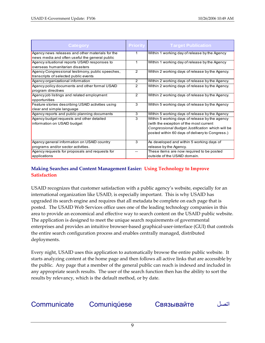| Category                                          | <b>Priority</b> | <b>Target Publication</b>                        |
|---------------------------------------------------|-----------------|--------------------------------------------------|
| Agency news releases and other materials for the  | 1               | Within 1 working day of release by the Agency    |
| news media and often useful the general public    |                 |                                                  |
| Agency situational reports USAID responses to     | 1               | Within 1 working day of release by the Agency    |
| overseas humanitarian disasters                   |                 |                                                  |
| Agency Congressional testimony, public speeches,  | 2               | Within 2 working days of release by the Agency.  |
| transcripts of selected public events             |                 |                                                  |
| Agency organizational information                 | $\overline{2}$  | Within 2 working days of release by the Agency.  |
| Agency policy documents and other formal USAID    | 2               | Within 2 working days of release by the Agency.  |
| program directives                                |                 |                                                  |
| Agency job listings and related employment        | 2               | Within 2 working days of release by the Agency.  |
| opportunities                                     |                 |                                                  |
| Feature stories describing USAID activities using | 3               | Within 5 working days of release by the Agency   |
| clear and simple language                         |                 |                                                  |
| Agency reports and public planning documents      | 3               | Within 5 working days of release by the Agency   |
| Agency budget requests and other detailed         | 3               | Within 5 working days of release by the agency   |
| information on USAID budget                       |                 | (with the exception of the most current          |
|                                                   |                 | Congressional Budget Justification which will be |
|                                                   |                 | posted within 60 days of delivery to Congress.)  |
|                                                   |                 |                                                  |
| Agency general information on USAID country       | 3               | As developed and within 5 working days of        |
| programs and/or sector activities.                |                 | release by the Agency.                           |
| Agency requests for proposals and requests for    |                 | These items are now required to be posted        |
| applications                                      |                 | outside of the USAID domain.                     |

## **Making Searches and Content Management Easier: Using Technology to Improve Satisfaction**

USAID recognizes that customer satisfaction with a public agency's website, especially for an international organization like USAID, is especially important. This is why USAID has upgraded its search engine and requires that all metadata be complete on each page that is posted. The USAID Web Services office uses one of the leading technology companies in this area to provide an economical and effective way to search content on the USAID public website. The application is designed to meet the unique search requirements of governmental enterprises and provides an intuitive browser‐based graphical‐user‐interface (GUI) that controls the entire search configuration process and enables centrally managed, distributed deployments.

Every night, USAID uses this application to automatically browse the entire public website. It starts analyzing content at the home page and then follows all active links that are accessible by the public. Any page that a member of the general public can reach is indexed and included in any appropriate search results. The user of the search function then has the ability to sort the results by relevancy, which is the default method, or by date.

Communicate Comuniqúese Связывайте اتصل

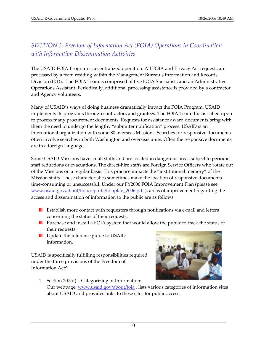# *SECTION 3: Freedom of Information Act (FOIA) Operations in Coordination with Information Dissemination Activities*

The USAID FOIA Program is a centralized operation. All FOIA and Privacy Act requests are processed by a team residing within the Management Bureau's Information and Records Division (IRD). The FOIA Team is comprised of five FOIA Specialists and an Administrative Operations Assistant. Periodically, additional processing assistance is provided by a contractor and Agency volunteers.

Many of USAID's ways of doing business dramatically impact the FOIA Program. USAID implements its programs through contractors and grantees. The FOIA Team thus is called upon to process many procurement documents. Requests for assistance award documents bring with them the need to undergo the lengthy "submitter notification" process. USAID is an international organization with some 80 overseas Missions. Searches for responsive documents often involve searches in both Washington and overseas units. Often the responsive documents are in a foreign language.

Some USAID Missions have small staffs and are located in dangerous areas subject to periodic staff reductions or evacuations. The direct‐hire staffs are Foreign Service Officers who rotate out of the Missions on a regular basis. This practice impacts the "institutional memory" of the Mission staffs. These characteristics sometimes make the location of responsive documents time-consuming or unsuccessful. Under our FY2006 FOIA Improvement Plan (please see www.usaid.gov/about/foia/reports/foiaplan\_2006.pdf ), areas of improvement regarding the access and dissemination of information to the public are as follows:

- Establish more contact with requesters through notifications via e‐mail and letters ш concerning the status of their requests.
- **Purchase and install a FOIA system that would allow the public to track the status of** their requests.
- **UPD** Update the reference guide to USAID information.

USAID is specifically fulfilling responsibilities required under the three provisions of the Freedom of Information Act:\*



1. Section 207(d) – Categorizing of Information: Our webpage, www.usaid.gov/about/foia, lists various categories of information sites about USAID and provides links to these sites for public access.